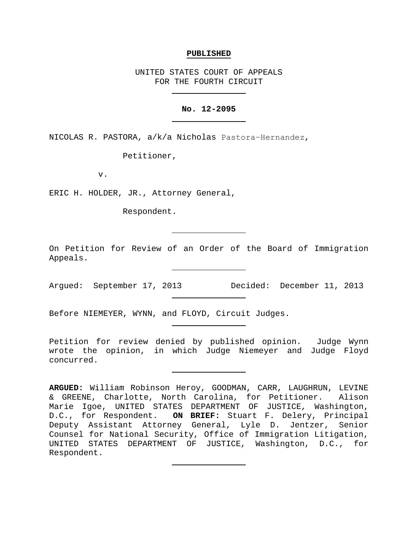### **PUBLISHED**

UNITED STATES COURT OF APPEALS FOR THE FOURTH CIRCUIT

# **No. 12-2095**

NICOLAS R. PASTORA, a/k/a Nicholas Pastora−Hernandez,

Petitioner,

v.

ERIC H. HOLDER, JR., Attorney General,

Respondent.

On Petition for Review of an Order of the Board of Immigration Appeals.

Argued: September 17, 2013 Decided: December 11, 2013

Before NIEMEYER, WYNN, and FLOYD, Circuit Judges.

Petition for review denied by published opinion. Judge Wynn wrote the opinion, in which Judge Niemeyer and Judge Floyd concurred.

**ARGUED:** William Robinson Heroy, GOODMAN, CARR, LAUGHRUN, LEVINE & GREENE, Charlotte, North Carolina, for Petitioner. Alison Marie Igoe, UNITED STATES DEPARTMENT OF JUSTICE, Washington, D.C., for Respondent. **ON BRIEF:** Stuart F. Delery, Principal Deputy Assistant Attorney General, Lyle D. Jentzer, Senior Counsel for National Security, Office of Immigration Litigation, UNITED STATES DEPARTMENT OF JUSTICE, Washington, D.C., for Respondent.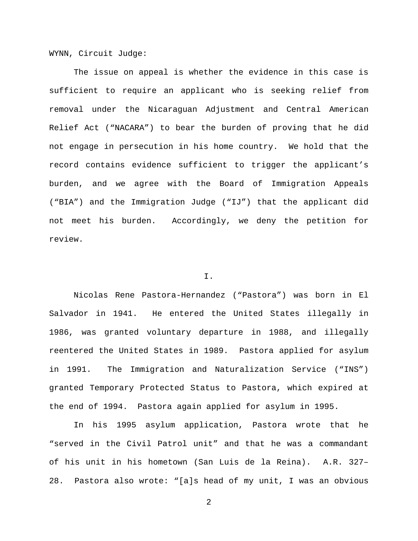WYNN, Circuit Judge:

The issue on appeal is whether the evidence in this case is sufficient to require an applicant who is seeking relief from removal under the Nicaraguan Adjustment and Central American Relief Act ("NACARA") to bear the burden of proving that he did not engage in persecution in his home country. We hold that the record contains evidence sufficient to trigger the applicant's burden, and we agree with the Board of Immigration Appeals ("BIA") and the Immigration Judge ("IJ") that the applicant did not meet his burden. Accordingly, we deny the petition for review.

## I.

Nicolas Rene Pastora-Hernandez ("Pastora") was born in El Salvador in 1941. He entered the United States illegally in 1986, was granted voluntary departure in 1988, and illegally reentered the United States in 1989. Pastora applied for asylum in 1991. The Immigration and Naturalization Service ("INS") granted Temporary Protected Status to Pastora, which expired at the end of 1994. Pastora again applied for asylum in 1995.

In his 1995 asylum application, Pastora wrote that he "served in the Civil Patrol unit" and that he was a commandant of his unit in his hometown (San Luis de la Reina). A.R. 327– 28. Pastora also wrote: "[a]s head of my unit, I was an obvious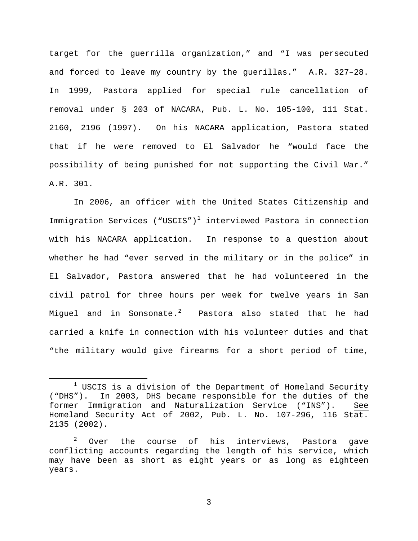target for the guerrilla organization," and "I was persecuted and forced to leave my country by the guerillas." A.R. 327–28. In 1999, Pastora applied for special rule cancellation of removal under § 203 of NACARA, Pub. L. No. 105-100, 111 Stat. 2160, 2196 (1997). On his NACARA application, Pastora stated that if he were removed to El Salvador he "would face the possibility of being punished for not supporting the Civil War." A.R. 301.

In 2006, an officer with the United States Citizenship and Immigration Services ("USCIS")<sup>[1](#page-2-0)</sup> interviewed Pastora in connection with his NACARA application. In response to a question about whether he had "ever served in the military or in the police" in El Salvador, Pastora answered that he had volunteered in the civil patrol for three hours per week for twelve years in San Miguel and in Sonsonate. $^2$  $^2$  Pastora also stated that he had carried a knife in connection with his volunteer duties and that "the military would give firearms for a short period of time,

<span id="page-2-0"></span> $1$  USCIS is a division of the Department of Homeland Security ("DHS"). In 2003, DHS became responsible for the duties of the former Immigration and Naturalization Service ("INS"). See Homeland Security Act of 2002, Pub. L. No. 107-296, 116 Stat. 2135 (2002).

<span id="page-2-1"></span> $2$  Over the course of his interviews, Pastora gave conflicting accounts regarding the length of his service, which may have been as short as eight years or as long as eighteen years.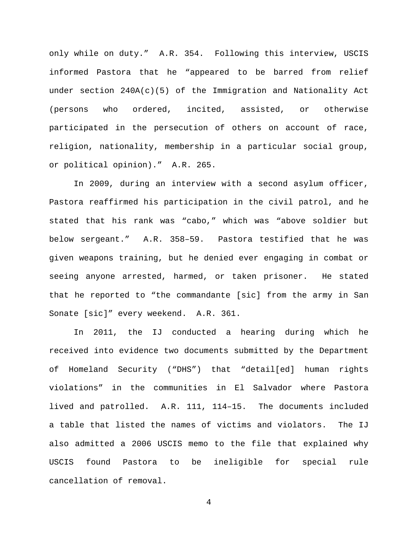only while on duty." A.R. 354. Following this interview, USCIS informed Pastora that he "appeared to be barred from relief under section  $240A(c)(5)$  of the Immigration and Nationality Act (persons who ordered, incited, assisted, or otherwise participated in the persecution of others on account of race, religion, nationality, membership in a particular social group, or political opinion)." A.R. 265.

In 2009, during an interview with a second asylum officer, Pastora reaffirmed his participation in the civil patrol, and he stated that his rank was "cabo," which was "above soldier but below sergeant." A.R. 358–59. Pastora testified that he was given weapons training, but he denied ever engaging in combat or seeing anyone arrested, harmed, or taken prisoner. He stated that he reported to "the commandante [sic] from the army in San Sonate [sic]" every weekend. A.R. 361.

In 2011, the IJ conducted a hearing during which he received into evidence two documents submitted by the Department of Homeland Security ("DHS") that "detail[ed] human rights violations" in the communities in El Salvador where Pastora lived and patrolled. A.R. 111, 114–15. The documents included a table that listed the names of victims and violators. The IJ also admitted a 2006 USCIS memo to the file that explained why USCIS found Pastora to be ineligible for special rule cancellation of removal.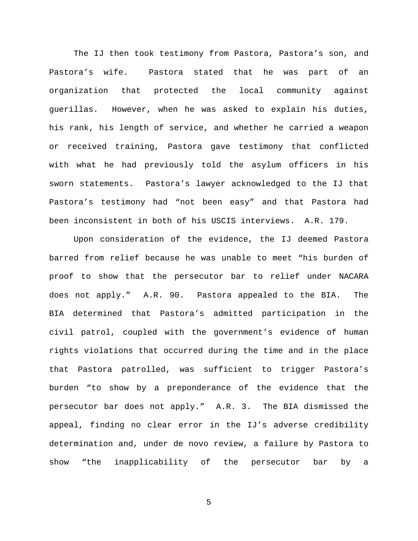The IJ then took testimony from Pastora, Pastora's son, and Pastora's wife. Pastora stated that he was part of an organization that protected the local community against guerillas. However, when he was asked to explain his duties, his rank, his length of service, and whether he carried a weapon or received training, Pastora gave testimony that conflicted with what he had previously told the asylum officers in his sworn statements. Pastora's lawyer acknowledged to the IJ that Pastora's testimony had "not been easy" and that Pastora had been inconsistent in both of his USCIS interviews. A.R. 179.

Upon consideration of the evidence, the IJ deemed Pastora barred from relief because he was unable to meet "his burden of proof to show that the persecutor bar to relief under NACARA does not apply." A.R. 90. Pastora appealed to the BIA. The BIA determined that Pastora's admitted participation in the civil patrol, coupled with the government's evidence of human rights violations that occurred during the time and in the place that Pastora patrolled, was sufficient to trigger Pastora's burden "to show by a preponderance of the evidence that the persecutor bar does not apply." A.R. 3. The BIA dismissed the appeal, finding no clear error in the IJ's adverse credibility determination and, under de novo review, a failure by Pastora to show "the inapplicability of the persecutor bar by a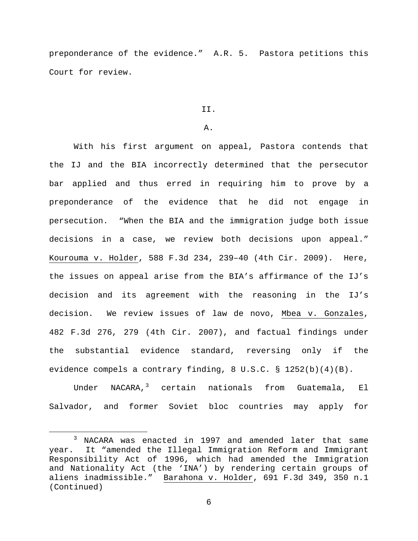preponderance of the evidence." A.R. 5. Pastora petitions this Court for review.

### II.

## A.

With his first argument on appeal, Pastora contends that the IJ and the BIA incorrectly determined that the persecutor bar applied and thus erred in requiring him to prove by a preponderance of the evidence that he did not engage in persecution. "When the BIA and the immigration judge both issue decisions in a case, we review both decisions upon appeal." Kourouma v. Holder, 588 F.3d 234, 239–40 (4th Cir. 2009). Here, the issues on appeal arise from the BIA's affirmance of the IJ's decision and its agreement with the reasoning in the IJ's decision. We review issues of law de novo, Mbea v. Gonzales, 482 F.3d 276, 279 (4th Cir. 2007), and factual findings under the substantial evidence standard, reversing only if the evidence compels a contrary finding, 8 U.S.C. § 1252(b)(4)(B).

Under NACARA, $3$  certain nationals from Guatemala, El Salvador, and former Soviet bloc countries may apply for

<span id="page-5-0"></span> <sup>3</sup> NACARA was enacted in 1997 and amended later that same year. It "amended the Illegal Immigration Reform and Immigrant Responsibility Act of 1996, which had amended the Immigration and Nationality Act (the 'INA') by rendering certain groups of aliens inadmissible." Barahona v. Holder, 691 F.3d 349, 350 n.1 (Continued)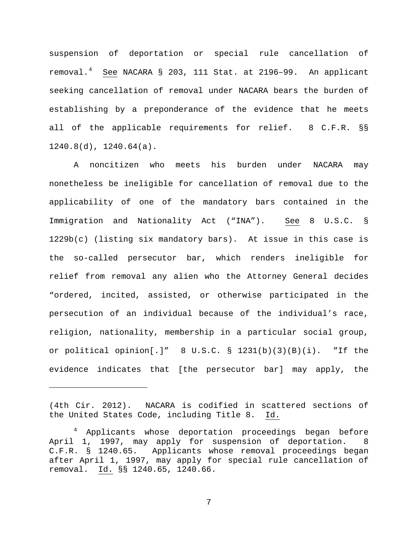suspension of deportation or special rule cancellation of removal.[4](#page-6-0) See NACARA § 203, 111 Stat. at 2196–99. An applicant seeking cancellation of removal under NACARA bears the burden of establishing by a preponderance of the evidence that he meets all of the applicable requirements for relief. 8 C.F.R. §§ 1240.8(d), 1240.64(a).

A noncitizen who meets his burden under NACARA may nonetheless be ineligible for cancellation of removal due to the applicability of one of the mandatory bars contained in the Immigration and Nationality Act ("INA"). See 8 U.S.C. § 1229b(c) (listing six mandatory bars). At issue in this case is the so-called persecutor bar, which renders ineligible for relief from removal any alien who the Attorney General decides "ordered, incited, assisted, or otherwise participated in the persecution of an individual because of the individual's race, religion, nationality, membership in a particular social group, or political opinion[.]" 8 U.S.C. § 1231(b)(3)(B)(i). "If the evidence indicates that [the persecutor bar] may apply, the

Ĩ.

<sup>(4</sup>th Cir. 2012). NACARA is codified in scattered sections of the United States Code, including Title 8. Id.

<span id="page-6-0"></span><sup>&</sup>lt;sup>4</sup> Applicants whose deportation proceedings began before April 1, 1997, may apply for suspension of deportation. 8 C.F.R. § 1240.65. Applicants whose removal proceedings began after April 1, 1997, may apply for special rule cancellation of removal. Id. §§ 1240.65, 1240.66.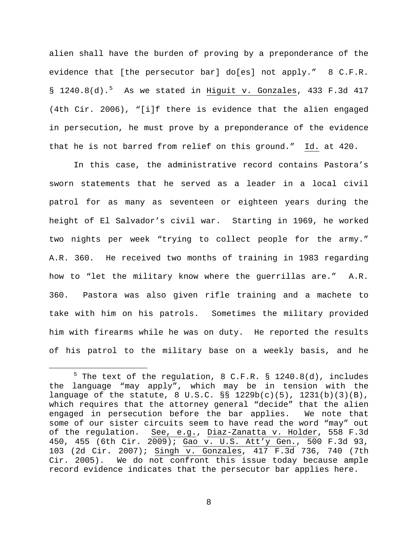alien shall have the burden of proving by a preponderance of the evidence that [the persecutor bar] do[es] not apply." 8 C.F.R. § 1240.8(d).<sup>[5](#page-7-0)</sup> As we stated in Higuit v. Gonzales, 433 F.3d 417 (4th Cir. 2006), "[i]f there is evidence that the alien engaged in persecution, he must prove by a preponderance of the evidence that he is not barred from relief on this ground." Id. at 420.

In this case, the administrative record contains Pastora's sworn statements that he served as a leader in a local civil patrol for as many as seventeen or eighteen years during the height of El Salvador's civil war. Starting in 1969, he worked two nights per week "trying to collect people for the army." A.R. 360. He received two months of training in 1983 regarding how to "let the military know where the guerrillas are." A.R. 360. Pastora was also given rifle training and a machete to take with him on his patrols. Sometimes the military provided him with firearms while he was on duty. He reported the results of his patrol to the military base on a weekly basis, and he

<span id="page-7-0"></span> $5$  The text of the regulation, 8 C.F.R. § 1240.8(d), includes the language "may apply", which may be in tension with the language of the statute, 8 U.S.C.  $\S$   $\frac{1229b(c)(5)}{1231(b)(3)(B)}$ , which requires that the attorney general "decide" that the alien engaged in persecution before the bar applies. We note that some of our sister circuits seem to have read the word "may" out of the regulation. See, e.g., Diaz-Zanatta v. Holder, 558 F.3d 450, 455 (6th Cir. 2009); Gao v. U.S. Att'y Gen., 500 F.3d 93, 103 (2d Cir. 2007); Singh v. Gonzales, 417 F.3d 736, 740 (7th Cir. 2005). We do not confront this issue today because ample record evidence indicates that the persecutor bar applies here.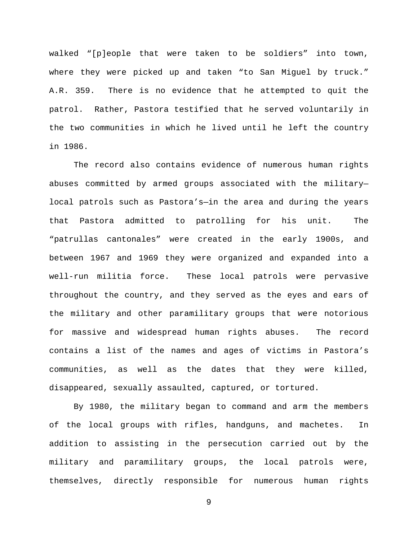walked "[p]eople that were taken to be soldiers" into town, where they were picked up and taken "to San Miguel by truck." A.R. 359. There is no evidence that he attempted to quit the patrol. Rather, Pastora testified that he served voluntarily in the two communities in which he lived until he left the country in 1986.

The record also contains evidence of numerous human rights abuses committed by armed groups associated with the military local patrols such as Pastora's—in the area and during the years that Pastora admitted to patrolling for his unit. The "patrullas cantonales" were created in the early 1900s, and between 1967 and 1969 they were organized and expanded into a well-run militia force. These local patrols were pervasive throughout the country, and they served as the eyes and ears of the military and other paramilitary groups that were notorious for massive and widespread human rights abuses. The record contains a list of the names and ages of victims in Pastora's communities, as well as the dates that they were killed, disappeared, sexually assaulted, captured, or tortured.

By 1980, the military began to command and arm the members of the local groups with rifles, handguns, and machetes. In addition to assisting in the persecution carried out by the military and paramilitary groups, the local patrols were, themselves, directly responsible for numerous human rights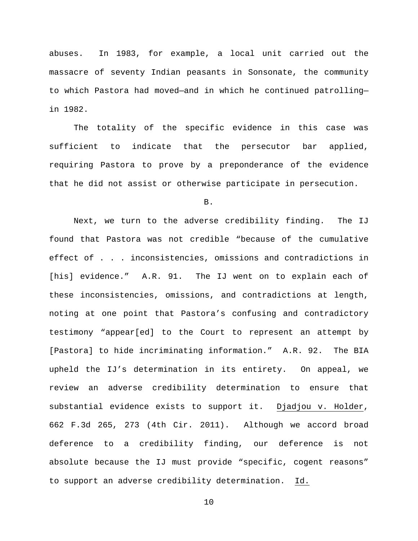abuses. In 1983, for example, a local unit carried out the massacre of seventy Indian peasants in Sonsonate, the community to which Pastora had moved—and in which he continued patrolling in 1982.

The totality of the specific evidence in this case was sufficient to indicate that the persecutor bar applied, requiring Pastora to prove by a preponderance of the evidence that he did not assist or otherwise participate in persecution.

B.

Next, we turn to the adverse credibility finding. The IJ found that Pastora was not credible "because of the cumulative effect of . . . inconsistencies, omissions and contradictions in [his] evidence." A.R. 91. The IJ went on to explain each of these inconsistencies, omissions, and contradictions at length, noting at one point that Pastora's confusing and contradictory testimony "appear[ed] to the Court to represent an attempt by [Pastora] to hide incriminating information." A.R. 92. The BIA upheld the IJ's determination in its entirety. On appeal, we review an adverse credibility determination to ensure that substantial evidence exists to support it. Djadjou v. Holder, 662 F.3d 265, 273 (4th Cir. 2011). Although we accord broad deference to a credibility finding, our deference is not absolute because the IJ must provide "specific, cogent reasons" to support an adverse credibility determination. Id.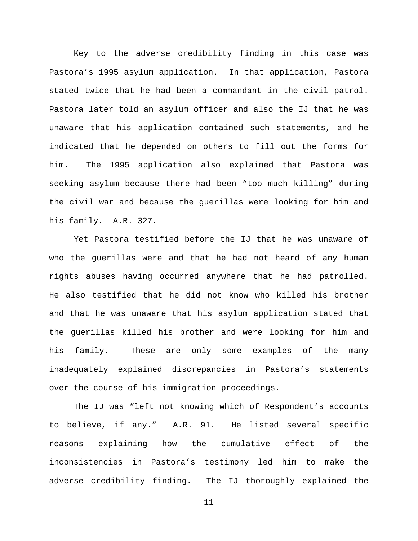Key to the adverse credibility finding in this case was Pastora's 1995 asylum application. In that application, Pastora stated twice that he had been a commandant in the civil patrol. Pastora later told an asylum officer and also the IJ that he was unaware that his application contained such statements, and he indicated that he depended on others to fill out the forms for him. The 1995 application also explained that Pastora was seeking asylum because there had been "too much killing" during the civil war and because the guerillas were looking for him and his family. A.R. 327.

Yet Pastora testified before the IJ that he was unaware of who the guerillas were and that he had not heard of any human rights abuses having occurred anywhere that he had patrolled. He also testified that he did not know who killed his brother and that he was unaware that his asylum application stated that the guerillas killed his brother and were looking for him and his family. These are only some examples of the many inadequately explained discrepancies in Pastora's statements over the course of his immigration proceedings.

The IJ was "left not knowing which of Respondent's accounts to believe, if any." A.R. 91. He listed several specific reasons explaining how the cumulative effect of the inconsistencies in Pastora's testimony led him to make the adverse credibility finding. The IJ thoroughly explained the